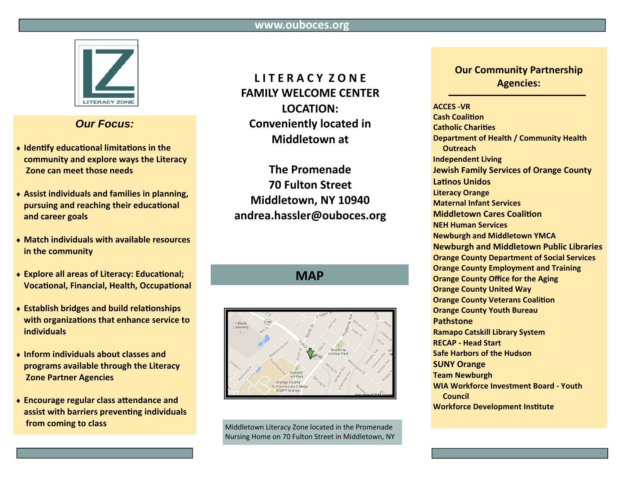

## **Our Focus:**

- Identify educational limitations in the community and explore ways the Literacy Zone can meet those needs
- ◆ Assist individuals and families in planning, pursuing and reaching their educational and career goals
- Match individuals with available resources in the community
- ◆ Explore all areas of Literacy: Educational; **Vocational, Financial, Health, Occupational**
- ◆ Establish bridges and build relationships with organizations that enhance service to *individuals*
- Inform individuals about classes and programs available through the Literacy **Zone Partner Agencies**
- Encourage regular class attendance and assist with barriers preventing individuals from coming to class

# **LITERACYZONE FAMILY WELCOME CENTER** LOCATION: **Conveniently located in Middletown at**

**The Promenade 70 Fulton Street** Middletown, NY 10940 andrea.hassler@ouboces.org

**MAP** 



Middletown Literacy Zone located in the Promenade Nursing Home on 70 Fulton Street in Middletown, NY

### **Our Community Partnership Agencies:**

#### **ACCES-VR**

**Cash Coalition Catholic Charities** Department of Health / Community Health **Outreach Independent Living Jewish Family Services of Orange County Latinos Unidos Literacy Orange Maternal Infant Services Middletown Cares Coalition NEH Human Services Newburgh and Middletown YMCA Newburgh and Middletown Public Libraries Orange County Department of Social Services Orange County Employment and Training Orange County Office for the Aging Orange County United Way Orange County Veterans Coalition Orange County Youth Bureau Pathstone Ramapo Catskill Library System RECAP - Head Start Safe Harbors of the Hudson SUNY Orange Team Newburgh WIA Workforce Investment Board - Youth** Council **Workforce Development Institute**